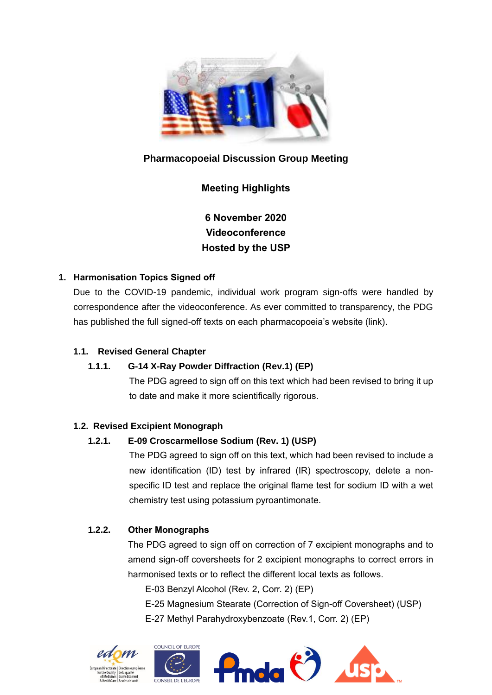

# **Pharmacopoeial Discussion Group Meeting**

# **Meeting Highlights**

**6 November 2020 Videoconference Hosted by the USP** 

## **1. Harmonisation Topics Signed off**

Due to the COVID-19 pandemic, individual work program sign-offs were handled by correspondence after the videoconference. As ever committed to transparency, the PDG has published the full signed-off texts on each pharmacopoeia's website (link).

### **1.1. Revised General Chapter**

### **1.1.1. G-14 X-Ray Powder Diffraction (Rev.1) (EP)**

The PDG agreed to sign off on this text which had been revised to bring it up to date and make it more scientifically rigorous.

### **1.2. Revised Excipient Monograph**

### **1.2.1. E-09 Croscarmellose Sodium (Rev. 1) (USP)**

The PDG agreed to sign off on this text, which had been revised to include a new identification (ID) test by infrared (IR) spectroscopy, delete a nonspecific ID test and replace the original flame test for sodium ID with a wet chemistry test using potassium pyroantimonate.

## **1.2.2. Other Monographs**

The PDG agreed to sign off on correction of 7 excipient monographs and to amend sign-off coversheets for 2 excipient monographs to correct errors in harmonised texts or to reflect the different local texts as follows.

E-03 Benzyl Alcohol (Rev. 2, Corr. 2) (EP)

- E-25 Magnesium Stearate (Correction of Sign-off Coversheet) (USP)
- E-27 Methyl Parahydroxybenzoate (Rev.1, Corr. 2) (EP)

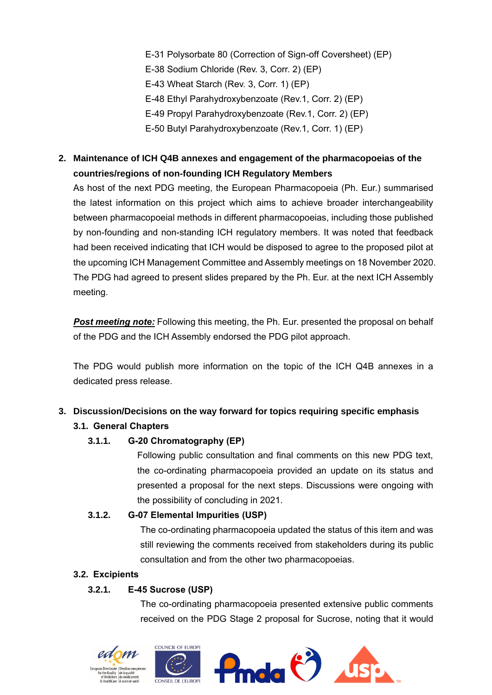- E-31 Polysorbate 80 (Correction of Sign-off Coversheet) (EP) E-38 Sodium Chloride (Rev. 3, Corr. 2) (EP) E-43 Wheat Starch (Rev. 3, Corr. 1) (EP) E-48 Ethyl Parahydroxybenzoate (Rev.1, Corr. 2) (EP) E-49 Propyl Parahydroxybenzoate (Rev.1, Corr. 2) (EP)
- E-50 Butyl Parahydroxybenzoate (Rev.1, Corr. 1) (EP)

## **2. Maintenance of ICH Q4B annexes and engagement of the pharmacopoeias of the countries/regions of non-founding ICH Regulatory Members**

As host of the next PDG meeting, the European Pharmacopoeia (Ph. Eur.) summarised the latest information on this project which aims to achieve broader interchangeability between pharmacopoeial methods in different pharmacopoeias, including those published by non-founding and non-standing ICH regulatory members. It was noted that feedback had been received indicating that ICH would be disposed to agree to the proposed pilot at the upcoming ICH Management Committee and Assembly meetings on 18 November 2020. The PDG had agreed to present slides prepared by the Ph. Eur. at the next ICH Assembly meeting.

**Post meeting note:** Following this meeting, the Ph. Eur. presented the proposal on behalf of the PDG and the ICH Assembly endorsed the PDG pilot approach.

The PDG would publish more information on the topic of the ICH Q4B annexes in a dedicated press release.

#### **3. Discussion/Decisions on the way forward for topics requiring specific emphasis**

### **3.1. General Chapters**

### **3.1.1. G-20 Chromatography (EP)**

Following public consultation and final comments on this new PDG text, the co-ordinating pharmacopoeia provided an update on its status and presented a proposal for the next steps. Discussions were ongoing with the possibility of concluding in 2021.

#### **3.1.2. G-07 Elemental Impurities (USP)**

The co-ordinating pharmacopoeia updated the status of this item and was still reviewing the comments received from stakeholders during its public consultation and from the other two pharmacopoeias.

#### **3.2. Excipients**

### **3.2.1. E-45 Sucrose (USP)**

The co-ordinating pharmacopoeia presented extensive public comments received on the PDG Stage 2 proposal for Sucrose, noting that it would